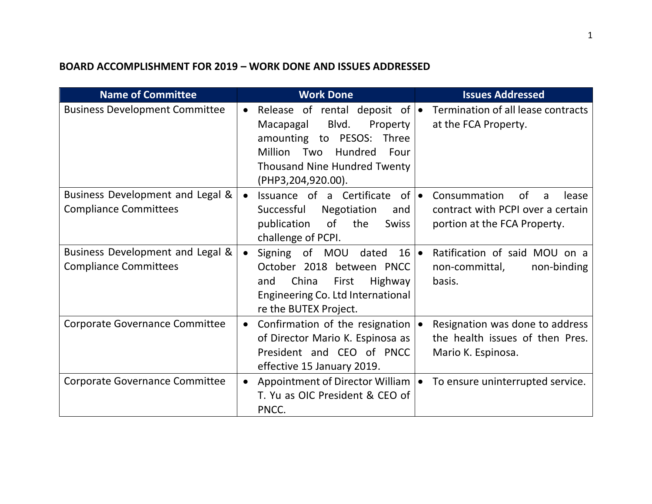## **BOARD ACCOMPLISHMENT FOR 2019 – WORK DONE AND ISSUES ADDRESSED**

| <b>Name of Committee</b>                                         | <b>Work Done</b>                                                                                                                                                                                          | <b>Issues Addressed</b>                                                                               |
|------------------------------------------------------------------|-----------------------------------------------------------------------------------------------------------------------------------------------------------------------------------------------------------|-------------------------------------------------------------------------------------------------------|
| <b>Business Development Committee</b>                            | Release of rental deposit of $\bullet$<br>Blvd.<br>Property  <br>Macapagal<br>amounting to PESOS: Three<br>Million<br>Two<br>Hundred<br>Four<br><b>Thousand Nine Hundred Twenty</b><br>(PHP3,204,920.00). | Termination of all lease contracts<br>at the FCA Property.                                            |
| Business Development and Legal &<br><b>Compliance Committees</b> | Issuance of a Certificate<br>of I•<br>$\bullet$<br>Successful<br>Negotiation<br>and<br>0f<br>publication<br>the<br><b>Swiss</b><br>challenge of PCPI.                                                     | Consummation<br>0f<br>lease<br>a<br>contract with PCPI over a certain<br>portion at the FCA Property. |
| Business Development and Legal &<br><b>Compliance Committees</b> | Signing of MOU dated<br>$16 \cdot$<br>October 2018 between PNCC<br>China<br>First<br><b>Highway</b><br>and<br>Engineering Co. Ltd International<br>re the BUTEX Project.                                  | Ratification of said MOU on a<br>non-committal,<br>non-binding<br>basis.                              |
| <b>Corporate Governance Committee</b>                            | Confirmation of the resignation<br>$\bullet$<br>of Director Mario K. Espinosa as<br>President and CEO of PNCC<br>effective 15 January 2019.                                                               | Resignation was done to address<br>$\bullet$<br>the health issues of then Pres.<br>Mario K. Espinosa. |
| <b>Corporate Governance Committee</b>                            | Appointment of Director William<br>$\bullet$<br>T. Yu as OIC President & CEO of<br>PNCC.                                                                                                                  | To ensure uninterrupted service.<br>$\bullet$                                                         |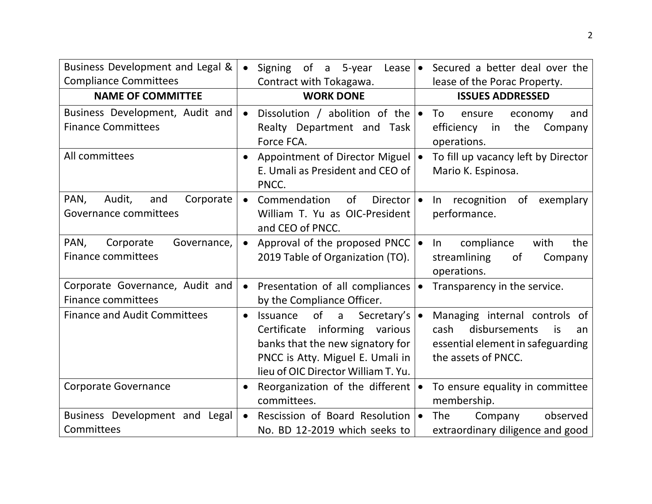| Business Development and Legal &<br><b>Compliance Committees</b> | of<br>a 5-year<br>Signing<br>Lease  <br>$\bullet$<br>Contract with Tokagawa.                                                                                                                           | Secured a better deal over the<br>lease of the Porac Property.                                                                     |
|------------------------------------------------------------------|--------------------------------------------------------------------------------------------------------------------------------------------------------------------------------------------------------|------------------------------------------------------------------------------------------------------------------------------------|
| <b>NAME OF COMMITTEE</b>                                         | <b>WORK DONE</b>                                                                                                                                                                                       | <b>ISSUES ADDRESSED</b>                                                                                                            |
| Business Development, Audit and<br><b>Finance Committees</b>     | Dissolution / abolition of the $\bullet$<br>$\bullet$<br>Realty Department and Task<br>Force FCA.                                                                                                      | To<br>and<br>ensure<br>economy<br>efficiency<br>the<br>Company<br>in<br>operations.                                                |
| All committees                                                   | Appointment of Director Miguel   •<br>$\bullet$<br>E. Umali as President and CEO of<br>PNCC.                                                                                                           | To fill up vacancy left by Director<br>Mario K. Espinosa.                                                                          |
| Corporate<br>PAN,<br>Audit,<br>and<br>Governance committees      | Commendation<br>of<br>Director $\vert \bullet \vert$<br>$\bullet$<br>William T. Yu as OIC-President<br>and CEO of PNCC.                                                                                | In recognition<br>of<br>exemplary<br>performance.                                                                                  |
| PAN,<br>Corporate<br>Governance,<br><b>Finance committees</b>    | Approval of the proposed PNCC $\bullet$<br>$\bullet$<br>2019 Table of Organization (TO).                                                                                                               | compliance<br>the<br>with<br>In.<br>streamlining<br>of<br>Company<br>operations.                                                   |
| Corporate Governance, Audit and<br><b>Finance committees</b>     | Presentation of all compliances  <br>$\bullet$<br>by the Compliance Officer.                                                                                                                           | Transparency in the service.                                                                                                       |
| <b>Finance and Audit Committees</b>                              | of<br>Secretary's   •<br>Issuance<br>a<br>$\bullet$<br>Certificate<br>informing various<br>banks that the new signatory for<br>PNCC is Atty. Miguel E. Umali in<br>lieu of OIC Director William T. Yu. | Managing internal controls<br>_of<br>disbursements<br>cash<br>is<br>an<br>essential element in safeguarding<br>the assets of PNCC. |
| <b>Corporate Governance</b>                                      | Reorganization of the different $\bullet$<br>$\bullet$<br>committees.                                                                                                                                  | To ensure equality in committee<br>membership.                                                                                     |
| Business Development and Legal<br>Committees                     | Rescission of Board Resolution   •<br>$\bullet$<br>No. BD 12-2019 which seeks to                                                                                                                       | <b>The</b><br>observed<br>Company<br>extraordinary diligence and good                                                              |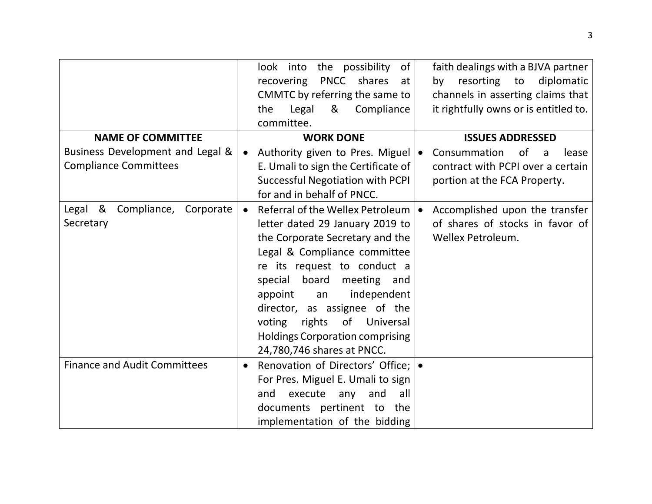|                                                                  | look into<br>the possibility<br>of<br><b>PNCC</b><br>shares<br>recovering<br>at<br>CMMTC by referring the same to<br>Legal<br>Compliance<br>&<br>the<br>committee.                                                                                                                                                                                                                                    | faith dealings with a BJVA partner<br>resorting to<br>diplomatic<br>by<br>channels in asserting claims that<br>it rightfully owns or is entitled to. |
|------------------------------------------------------------------|-------------------------------------------------------------------------------------------------------------------------------------------------------------------------------------------------------------------------------------------------------------------------------------------------------------------------------------------------------------------------------------------------------|------------------------------------------------------------------------------------------------------------------------------------------------------|
| <b>NAME OF COMMITTEE</b>                                         | <b>WORK DONE</b>                                                                                                                                                                                                                                                                                                                                                                                      | <b>ISSUES ADDRESSED</b>                                                                                                                              |
| Business Development and Legal &<br><b>Compliance Committees</b> | Authority given to Pres. Miguel   .<br>$\bullet$<br>E. Umali to sign the Certificate of<br><b>Successful Negotiation with PCPI</b><br>for and in behalf of PNCC.                                                                                                                                                                                                                                      | Consummation<br>of<br>lease<br>a<br>contract with PCPI over a certain<br>portion at the FCA Property.                                                |
| Legal &<br>Compliance,<br>Corporate<br>Secretary                 | Referral of the Wellex Petroleum   •<br>$\bullet$<br>letter dated 29 January 2019 to<br>the Corporate Secretary and the<br>Legal & Compliance committee<br>re its request to conduct a<br>special board<br>meeting<br>and<br>independent<br>appoint<br>an<br>director, as assignee of the<br>of Universal<br>voting<br>rights<br><b>Holdings Corporation comprising</b><br>24,780,746 shares at PNCC. | Accomplished upon the transfer<br>of shares of stocks in favor of<br><b>Wellex Petroleum.</b>                                                        |
| <b>Finance and Audit Committees</b>                              | Renovation of Directors' Office;   •<br>$\bullet$<br>For Pres. Miguel E. Umali to sign<br>execute<br>and<br>all<br>any<br>and<br>documents pertinent to the<br>implementation of the bidding                                                                                                                                                                                                          |                                                                                                                                                      |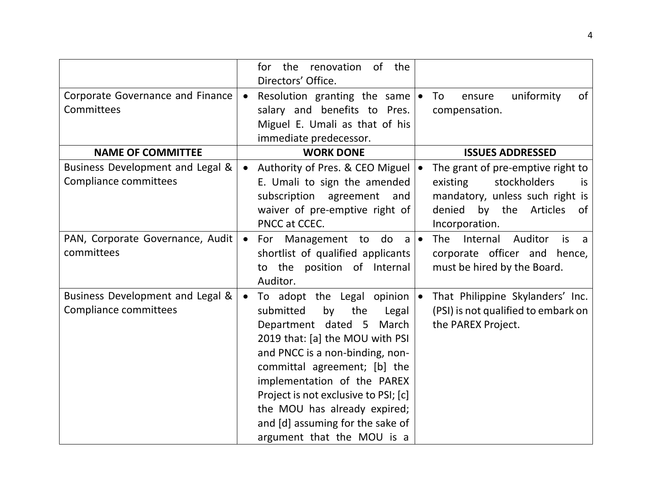|                                  |           | for the renovation of the<br>Directors' Office. |                                                     |
|----------------------------------|-----------|-------------------------------------------------|-----------------------------------------------------|
| Corporate Governance and Finance | $\bullet$ | Resolution granting the same $\bullet$          | uniformity<br>of<br>To<br>ensure                    |
| Committees                       |           | salary and benefits to Pres.                    | compensation.                                       |
|                                  |           | Miguel E. Umali as that of his                  |                                                     |
|                                  |           | immediate predecessor.                          |                                                     |
| <b>NAME OF COMMITTEE</b>         |           | <b>WORK DONE</b>                                | <b>ISSUES ADDRESSED</b>                             |
| Business Development and Legal & | $\bullet$ | Authority of Pres. & CEO Miguel                 | The grant of pre-emptive right to                   |
| Compliance committees            |           | E. Umali to sign the amended                    | stockholders<br>existing<br>is                      |
|                                  |           | subscription<br>agreement<br>and                | mandatory, unless such right is                     |
|                                  |           | waiver of pre-emptive right of                  | denied by the<br>Articles<br>of                     |
|                                  |           | PNCC at CCEC.                                   | Incorporation.                                      |
| PAN, Corporate Governance, Audit | $\bullet$ | For Management to<br>do<br>a                    | <b>The</b><br>Internal<br>Auditor<br><i>is</i><br>a |
| committees                       |           | shortlist of qualified applicants               | corporate officer and hence,                        |
|                                  |           | the position of Internal<br>to                  | must be hired by the Board.                         |
|                                  |           | Auditor.                                        |                                                     |
| Business Development and Legal & | $\bullet$ | To adopt the Legal opinion                      | That Philippine Skylanders' Inc.                    |
| Compliance committees            |           | submitted<br>the<br>by<br>Legal                 | (PSI) is not qualified to embark on                 |
|                                  |           | Department dated 5 March                        | the PAREX Project.                                  |
|                                  |           | 2019 that: [a] the MOU with PSI                 |                                                     |
|                                  |           | and PNCC is a non-binding, non-                 |                                                     |
|                                  |           | committal agreement; [b] the                    |                                                     |
|                                  |           | implementation of the PAREX                     |                                                     |
|                                  |           | Project is not exclusive to PSI; [c]            |                                                     |
|                                  |           | the MOU has already expired;                    |                                                     |
|                                  |           | and [d] assuming for the sake of                |                                                     |
|                                  |           | argument that the MOU is a                      |                                                     |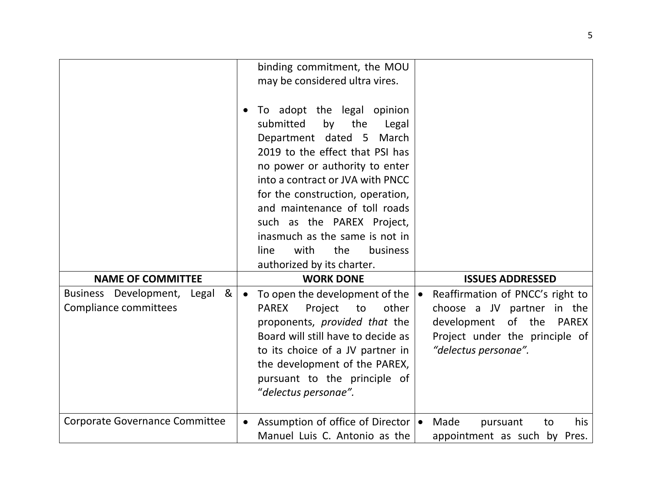|                                                                  | binding commitment, the MOU<br>may be considered ultra vires.<br>To adopt the legal opinion<br>the<br>submitted<br>by<br>Legal<br>Department dated 5<br>March<br>2019 to the effect that PSI has<br>no power or authority to enter<br>into a contract or JVA with PNCC<br>for the construction, operation,<br>and maintenance of toll roads<br>such as the PAREX Project,<br>inasmuch as the same is not in<br>with<br>the<br>line<br>business<br>authorized by its charter. |                                                                                                                                                                |
|------------------------------------------------------------------|------------------------------------------------------------------------------------------------------------------------------------------------------------------------------------------------------------------------------------------------------------------------------------------------------------------------------------------------------------------------------------------------------------------------------------------------------------------------------|----------------------------------------------------------------------------------------------------------------------------------------------------------------|
| <b>NAME OF COMMITTEE</b>                                         | <b>WORK DONE</b>                                                                                                                                                                                                                                                                                                                                                                                                                                                             | <b>ISSUES ADDRESSED</b>                                                                                                                                        |
| Business Development, Legal<br>&<br><b>Compliance committees</b> | To open the development of the<br>$\bullet$<br>other<br><b>PAREX</b><br>Project to<br>proponents, provided that the<br>Board will still have to decide as<br>to its choice of a JV partner in<br>the development of the PAREX,<br>pursuant to the principle of<br>"delectus personae".                                                                                                                                                                                       | Reaffirmation of PNCC's right to<br>choose a JV partner in the<br>development of the<br><b>PAREX</b><br>Project under the principle of<br>"delectus personae". |
| <b>Corporate Governance Committee</b>                            | Assumption of office of Director   •<br>$\bullet$<br>Manuel Luis C. Antonio as the                                                                                                                                                                                                                                                                                                                                                                                           | Made<br>his<br>pursuant<br>to<br>appointment as such by Pres.                                                                                                  |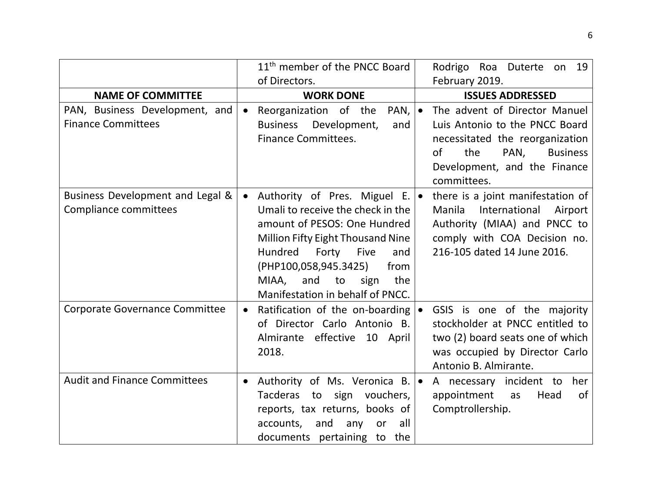|                                       |           | 11 <sup>th</sup> member of the PNCC Board | Rodrigo Roa Duterte on 19              |
|---------------------------------------|-----------|-------------------------------------------|----------------------------------------|
|                                       |           | of Directors.                             | February 2019.                         |
| <b>NAME OF COMMITTEE</b>              |           | <b>WORK DONE</b>                          | <b>ISSUES ADDRESSED</b>                |
| PAN, Business Development, and        | $\bullet$ | Reorganization of the<br>$PAN,   \bullet$ | The advent of Director Manuel          |
| <b>Finance Committees</b>             |           | Business Development,<br>and              | Luis Antonio to the PNCC Board         |
|                                       |           | <b>Finance Committees.</b>                | necessitated the reorganization        |
|                                       |           |                                           | 0f<br>the<br>PAN,<br><b>Business</b>   |
|                                       |           |                                           | Development, and the Finance           |
|                                       |           |                                           | committees.                            |
| Business Development and Legal &      | $\bullet$ | Authority of Pres. Miguel E. .            | there is a joint manifestation of      |
| Compliance committees                 |           | Umali to receive the check in the         | International<br>Manila<br>Airport     |
|                                       |           | amount of PESOS: One Hundred              | Authority (MIAA) and PNCC to           |
|                                       |           | <b>Million Fifty Eight Thousand Nine</b>  | comply with COA Decision no.           |
|                                       |           | Hundred<br>Forty<br>Five<br>and           | 216-105 dated 14 June 2016.            |
|                                       |           | (PHP100,058,945.3425)<br>from             |                                        |
|                                       |           | the<br>MIAA,<br>and<br>to<br>sign         |                                        |
|                                       |           | Manifestation in behalf of PNCC.          |                                        |
| <b>Corporate Governance Committee</b> | $\bullet$ | Ratification of the on-boarding $\bullet$ | GSIS is one of the majority            |
|                                       |           | of Director Carlo Antonio B.              | stockholder at PNCC entitled to        |
|                                       |           | Almirante effective 10 April              | two (2) board seats one of which       |
|                                       |           | 2018.                                     | was occupied by Director Carlo         |
|                                       |           |                                           | Antonio B. Almirante.                  |
| <b>Audit and Finance Committees</b>   | $\bullet$ | Authority of Ms. Veronica B.   •          | A necessary incident to her            |
|                                       |           | Tacderas to sign vouchers,                | appointment<br>Head<br><b>of</b><br>as |
|                                       |           | reports, tax returns, books of            | Comptrollership.                       |
|                                       |           | accounts, and<br>all<br>any<br>or         |                                        |
|                                       |           | documents pertaining to the               |                                        |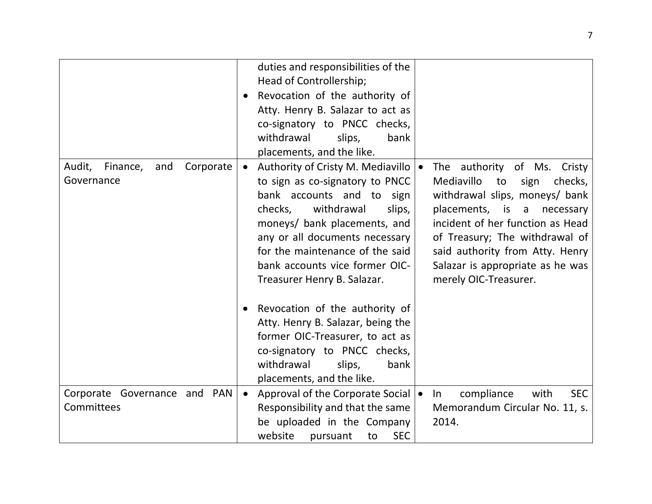|                                                      | duties and responsibilities of the<br>Head of Controllership;<br>Revocation of the authority of<br>$\bullet$<br>Atty. Henry B. Salazar to act as<br>co-signatory to PNCC checks,<br>withdrawal<br>slips,<br>bank<br>placements, and the like.                                                                  |                                                                                                                                                                                                                                                                                                                |
|------------------------------------------------------|----------------------------------------------------------------------------------------------------------------------------------------------------------------------------------------------------------------------------------------------------------------------------------------------------------------|----------------------------------------------------------------------------------------------------------------------------------------------------------------------------------------------------------------------------------------------------------------------------------------------------------------|
| Audit,<br>Finance,<br>Corporate<br>and<br>Governance | Authority of Cristy M. Mediavillo   •<br>to sign as co-signatory to PNCC<br>bank accounts and to sign<br>withdrawal<br>checks,<br>slips,<br>moneys/ bank placements, and<br>any or all documents necessary<br>for the maintenance of the said<br>bank accounts vice former OIC-<br>Treasurer Henry B. Salazar. | The authority of Ms.<br>Cristy<br>Mediavillo<br>checks,<br>to<br>sign<br>withdrawal slips, moneys/ bank<br>placements, is a<br>necessary<br>incident of her function as Head<br>of Treasury; The withdrawal of<br>said authority from Atty. Henry<br>Salazar is appropriate as he was<br>merely OIC-Treasurer. |
|                                                      | Revocation of the authority of<br>Atty. Henry B. Salazar, being the<br>former OIC-Treasurer, to act as<br>co-signatory to PNCC checks,<br>withdrawal<br>slips,<br>bank<br>placements, and the like.                                                                                                            |                                                                                                                                                                                                                                                                                                                |
| Corporate Governance and PAN<br>Committees           | Approval of the Corporate Social   •<br>$\bullet$<br>Responsibility and that the same<br>be uploaded in the Company<br>website<br><b>SEC</b><br>pursuant<br>to                                                                                                                                                 | compliance<br>with<br><b>SEC</b><br>In<br>Memorandum Circular No. 11, s.<br>2014.                                                                                                                                                                                                                              |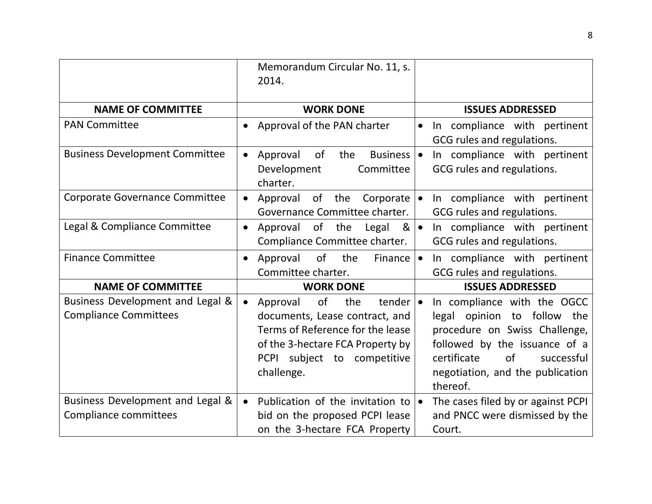|                                                                  | Memorandum Circular No. 11, s.<br>2014.                                                                                                                                                                     |                                                                                                                                                                                                                 |
|------------------------------------------------------------------|-------------------------------------------------------------------------------------------------------------------------------------------------------------------------------------------------------------|-----------------------------------------------------------------------------------------------------------------------------------------------------------------------------------------------------------------|
| <b>NAME OF COMMITTEE</b>                                         | <b>WORK DONE</b>                                                                                                                                                                                            | <b>ISSUES ADDRESSED</b>                                                                                                                                                                                         |
| <b>PAN Committee</b>                                             | Approval of the PAN charter<br>$\bullet$                                                                                                                                                                    | In compliance with pertinent<br>$\bullet$<br>GCG rules and regulations.                                                                                                                                         |
| <b>Business Development Committee</b>                            | Approval<br>of<br>the<br>Business   •<br>$\bullet$<br>Development<br>Committee<br>charter.                                                                                                                  | In compliance with pertinent<br>GCG rules and regulations.                                                                                                                                                      |
| Corporate Governance Committee                                   | Approval of the Corporate<br>$\bullet$<br>Governance Committee charter.                                                                                                                                     | In compliance with pertinent<br>GCG rules and regulations.                                                                                                                                                      |
| Legal & Compliance Committee                                     | Approval of the<br>Legal<br>$8 \cdot$<br>$\bullet$<br>Compliance Committee charter.                                                                                                                         | In compliance with pertinent<br>GCG rules and regulations.                                                                                                                                                      |
| <b>Finance Committee</b>                                         | of<br>the<br>Approval<br>Finance<br>$\bullet$<br>Committee charter.                                                                                                                                         | In compliance with pertinent<br>$\bullet$<br>GCG rules and regulations.                                                                                                                                         |
| <b>NAME OF COMMITTEE</b>                                         | <b>WORK DONE</b>                                                                                                                                                                                            | <b>ISSUES ADDRESSED</b>                                                                                                                                                                                         |
| Business Development and Legal &<br><b>Compliance Committees</b> | of<br>the<br>tender $\cdot$<br>Approval<br>$\bullet$<br>documents, Lease contract, and<br>Terms of Reference for the lease<br>of the 3-hectare FCA Property by<br>PCPI subject to competitive<br>challenge. | In compliance with the OGCC<br>legal opinion to follow the<br>procedure on Swiss Challenge,<br>followed by the issuance of a<br>certificate<br>of<br>successful<br>negotiation, and the publication<br>thereof. |
| Business Development and Legal &<br>Compliance committees        | Publication of the invitation to $\bullet$<br>$\bullet$<br>bid on the proposed PCPI lease<br>on the 3-hectare FCA Property                                                                                  | The cases filed by or against PCPI<br>and PNCC were dismissed by the<br>Court.                                                                                                                                  |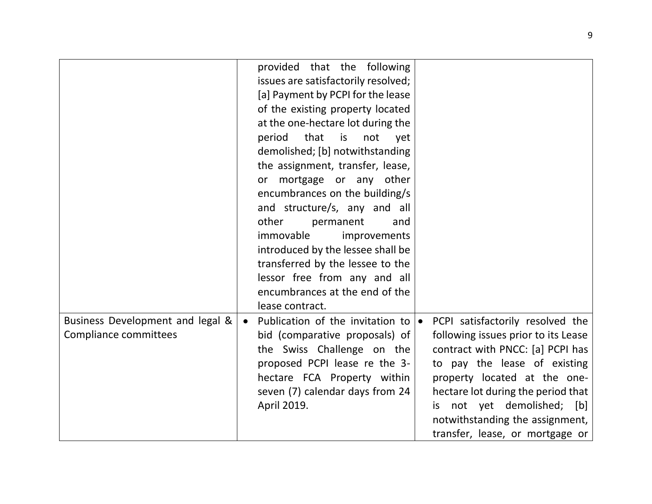|                                                           | provided that the following<br>issues are satisfactorily resolved;<br>[a] Payment by PCPI for the lease<br>of the existing property located<br>at the one-hectare lot during the<br>period that<br><b>is</b><br>not<br>yet<br>demolished; [b] notwithstanding<br>the assignment, transfer, lease,<br>mortgage or any other<br>or<br>encumbrances on the building/s<br>and structure/s, any and all<br>other<br>permanent<br>and<br>immovable<br>improvements<br>introduced by the lessee shall be<br>transferred by the lessee to the |                                                                                                                                                                                                                                                                                                                           |
|-----------------------------------------------------------|---------------------------------------------------------------------------------------------------------------------------------------------------------------------------------------------------------------------------------------------------------------------------------------------------------------------------------------------------------------------------------------------------------------------------------------------------------------------------------------------------------------------------------------|---------------------------------------------------------------------------------------------------------------------------------------------------------------------------------------------------------------------------------------------------------------------------------------------------------------------------|
|                                                           | encumbrances at the end of the                                                                                                                                                                                                                                                                                                                                                                                                                                                                                                        |                                                                                                                                                                                                                                                                                                                           |
|                                                           | lease contract.                                                                                                                                                                                                                                                                                                                                                                                                                                                                                                                       |                                                                                                                                                                                                                                                                                                                           |
| Business Development and legal &<br>Compliance committees | Publication of the invitation to $\bullet$<br>$\bullet$<br>bid (comparative proposals) of<br>the Swiss Challenge on the<br>proposed PCPI lease re the 3-<br>hectare FCA Property within<br>seven (7) calendar days from 24<br>April 2019.                                                                                                                                                                                                                                                                                             | PCPI satisfactorily resolved the<br>following issues prior to its Lease<br>contract with PNCC: [a] PCPI has<br>to pay the lease of existing<br>property located at the one-<br>hectare lot during the period that<br>not yet demolished; [b]<br>İS.<br>notwithstanding the assignment,<br>transfer, lease, or mortgage or |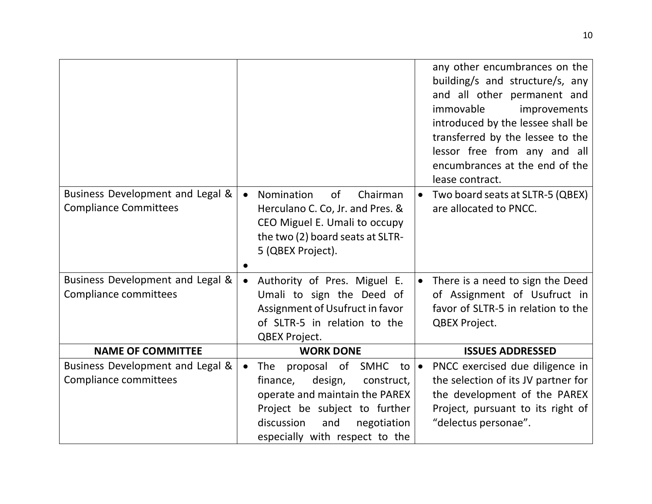|                                                                  |                                                                                          | any other encumbrances on the<br>building/s and structure/s, any<br>and all other permanent and<br>immovable<br>improvements<br>introduced by the lessee shall be<br>transferred by the lessee to the<br>lessor free from any and all<br>encumbrances at the end of the<br>lease contract. |
|------------------------------------------------------------------|------------------------------------------------------------------------------------------|--------------------------------------------------------------------------------------------------------------------------------------------------------------------------------------------------------------------------------------------------------------------------------------------|
| Business Development and Legal &<br><b>Compliance Committees</b> | Nomination<br><sub>of</sub><br>Chairman<br>$\bullet$<br>Herculano C. Co, Jr. and Pres. & | Two board seats at SLTR-5 (QBEX)<br>$\bullet$<br>are allocated to PNCC.                                                                                                                                                                                                                    |
|                                                                  | CEO Miguel E. Umali to occupy<br>the two (2) board seats at SLTR-                        |                                                                                                                                                                                                                                                                                            |
|                                                                  | 5 (QBEX Project).                                                                        |                                                                                                                                                                                                                                                                                            |
|                                                                  |                                                                                          |                                                                                                                                                                                                                                                                                            |
| Business Development and Legal &<br><b>Compliance committees</b> | Authority of Pres. Miguel E.<br>$\bullet$                                                | • There is a need to sign the Deed                                                                                                                                                                                                                                                         |
|                                                                  | Umali to sign the Deed of<br>Assignment of Usufruct in favor                             | of Assignment of Usufruct in<br>favor of SLTR-5 in relation to the                                                                                                                                                                                                                         |
|                                                                  | of SLTR-5 in relation to the                                                             | QBEX Project.                                                                                                                                                                                                                                                                              |
|                                                                  | <b>QBEX Project.</b>                                                                     |                                                                                                                                                                                                                                                                                            |
| <b>NAME OF COMMITTEE</b>                                         | <b>WORK DONE</b>                                                                         | <b>ISSUES ADDRESSED</b>                                                                                                                                                                                                                                                                    |
| Business Development and Legal &                                 | The proposal of SMHC<br>to I∙<br>$\bullet$                                               | PNCC exercised due diligence in                                                                                                                                                                                                                                                            |
| Compliance committees                                            | design,<br>construct,<br>finance,                                                        | the selection of its JV partner for                                                                                                                                                                                                                                                        |
|                                                                  | operate and maintain the PAREX                                                           | the development of the PAREX                                                                                                                                                                                                                                                               |
|                                                                  | Project be subject to further                                                            | Project, pursuant to its right of                                                                                                                                                                                                                                                          |
|                                                                  | discussion<br>and<br>negotiation                                                         | "delectus personae".                                                                                                                                                                                                                                                                       |
|                                                                  | especially with respect to the                                                           |                                                                                                                                                                                                                                                                                            |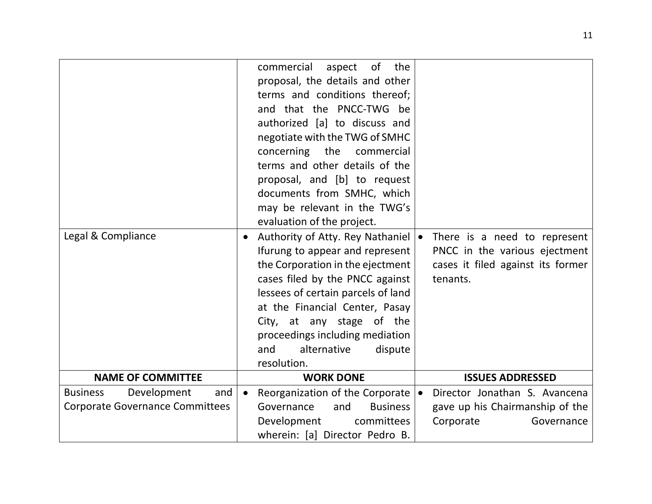|                                                                                 | commercial<br>$\circ$ of<br>the<br>aspect<br>proposal, the details and other<br>terms and conditions thereof;<br>and that the PNCC-TWG be<br>authorized [a] to discuss and<br>negotiate with the TWG of SMHC<br>concerning the<br>commercial<br>terms and other details of the<br>proposal, and [b] to request<br>documents from SMHC, which<br>may be relevant in the TWG's<br>evaluation of the project. |                                                                                                                |
|---------------------------------------------------------------------------------|------------------------------------------------------------------------------------------------------------------------------------------------------------------------------------------------------------------------------------------------------------------------------------------------------------------------------------------------------------------------------------------------------------|----------------------------------------------------------------------------------------------------------------|
| Legal & Compliance                                                              | Authority of Atty. Rey Nathaniel   •<br>Ifurung to appear and represent<br>the Corporation in the ejectment<br>cases filed by the PNCC against<br>lessees of certain parcels of land<br>at the Financial Center, Pasay<br>City, at any stage of the<br>proceedings including mediation<br>and<br>alternative<br>dispute<br>resolution.                                                                     | There is a need to represent<br>PNCC in the various ejectment<br>cases it filed against its former<br>tenants. |
| <b>NAME OF COMMITTEE</b>                                                        | <b>WORK DONE</b>                                                                                                                                                                                                                                                                                                                                                                                           | <b>ISSUES ADDRESSED</b>                                                                                        |
| <b>Business</b><br>Development<br>and<br><b>Corporate Governance Committees</b> | Reorganization of the Corporate $\vert \bullet \vert$<br>$\bullet$<br>Governance<br>and<br><b>Business</b><br>Development<br>committees<br>wherein: [a] Director Pedro B.                                                                                                                                                                                                                                  | Director Jonathan S. Avancena<br>gave up his Chairmanship of the<br>Corporate<br>Governance                    |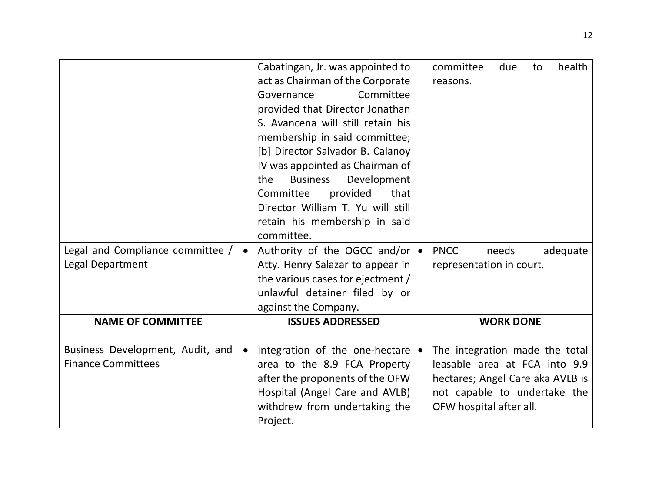|                                                               | Cabatingan, Jr. was appointed to<br>act as Chairman of the Corporate<br>Governance<br>Committee<br>provided that Director Jonathan<br>S. Avancena will still retain his<br>membership in said committee;<br>[b] Director Salvador B. Calanoy<br>IV was appointed as Chairman of<br>Development<br><b>Business</b><br>the<br>provided<br>that<br>Committee<br>Director William T. Yu will still<br>retain his membership in said<br>committee. | committee<br>health<br>due<br>to<br>reasons.                                                                                                                   |
|---------------------------------------------------------------|-----------------------------------------------------------------------------------------------------------------------------------------------------------------------------------------------------------------------------------------------------------------------------------------------------------------------------------------------------------------------------------------------------------------------------------------------|----------------------------------------------------------------------------------------------------------------------------------------------------------------|
| Legal and Compliance committee /<br>Legal Department          | Authority of the OGCC and/or $\bullet$<br>Atty. Henry Salazar to appear in<br>the various cases for ejectment /<br>unlawful detainer filed by or<br>against the Company.                                                                                                                                                                                                                                                                      | <b>PNCC</b><br>adequate<br>needs<br>representation in court.                                                                                                   |
| <b>NAME OF COMMITTEE</b>                                      | <b>ISSUES ADDRESSED</b>                                                                                                                                                                                                                                                                                                                                                                                                                       | <b>WORK DONE</b>                                                                                                                                               |
| Business Development, Audit, and<br><b>Finance Committees</b> | Integration of the one-hectare $\bullet$<br>area to the 8.9 FCA Property<br>after the proponents of the OFW<br>Hospital (Angel Care and AVLB)<br>withdrew from undertaking the<br>Project.                                                                                                                                                                                                                                                    | The integration made the total<br>leasable area at FCA into 9.9<br>hectares; Angel Care aka AVLB is<br>not capable to undertake the<br>OFW hospital after all. |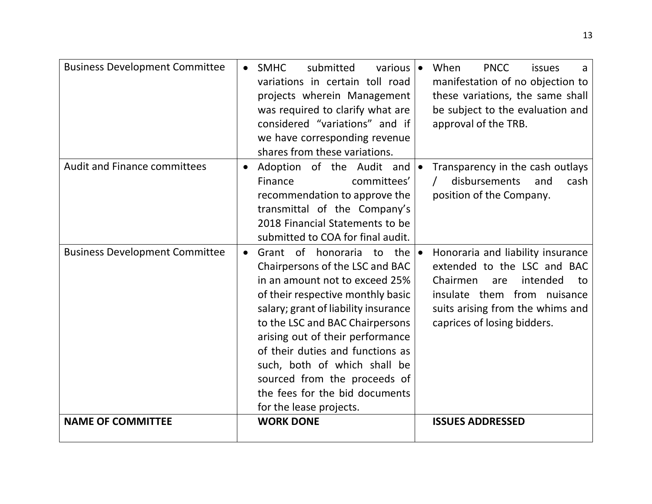| <b>Business Development Committee</b> |           | <b>SMHC</b><br>submitted<br>various  <br>variations in certain toll road<br>projects wherein Management<br>was required to clarify what are<br>considered "variations" and if<br>we have corresponding revenue<br>shares from these variations.                                                                                                                                                                     | When<br><b>PNCC</b><br>issues<br>a<br>manifestation of no objection to<br>these variations, the same shall<br>be subject to the evaluation and<br>approval of the TRB.                                  |
|---------------------------------------|-----------|---------------------------------------------------------------------------------------------------------------------------------------------------------------------------------------------------------------------------------------------------------------------------------------------------------------------------------------------------------------------------------------------------------------------|---------------------------------------------------------------------------------------------------------------------------------------------------------------------------------------------------------|
| <b>Audit and Finance committees</b>   | $\bullet$ | Adoption of the Audit and<br>committees'<br>Finance<br>recommendation to approve the<br>transmittal of the Company's<br>2018 Financial Statements to be<br>submitted to COA for final audit.                                                                                                                                                                                                                        | Transparency in the cash outlays<br>disbursements<br>and<br>cash<br>position of the Company.                                                                                                            |
| <b>Business Development Committee</b> | $\bullet$ | Grant of honoraria to the<br>Chairpersons of the LSC and BAC<br>in an amount not to exceed 25%<br>of their respective monthly basic<br>salary; grant of liability insurance<br>to the LSC and BAC Chairpersons<br>arising out of their performance<br>of their duties and functions as<br>such, both of which shall be<br>sourced from the proceeds of<br>the fees for the bid documents<br>for the lease projects. | Honoraria and liability insurance<br>extended to the LSC and BAC<br>Chairmen<br>intended<br>are<br>to<br>insulate them from nuisance<br>suits arising from the whims and<br>caprices of losing bidders. |
| <b>NAME OF COMMITTEE</b>              |           | <b>WORK DONE</b>                                                                                                                                                                                                                                                                                                                                                                                                    | <b>ISSUES ADDRESSED</b>                                                                                                                                                                                 |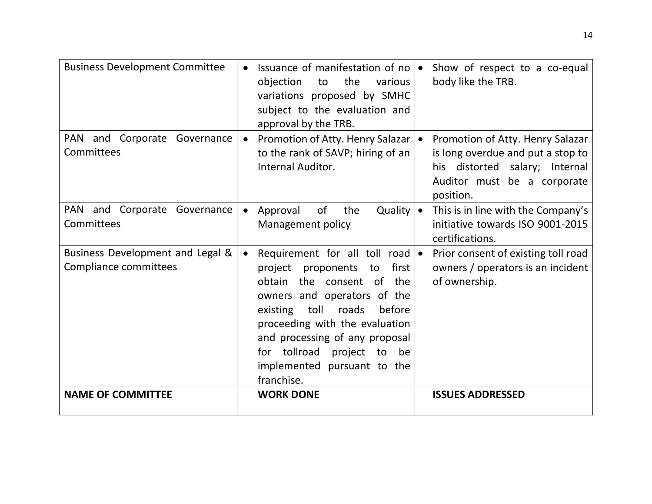| <b>Business Development Committee</b>                     |           | Issuance of manifestation of no   •<br>the<br>objection<br>to<br>various<br>variations proposed by SMHC<br>subject to the evaluation and<br>approval by the TRB.                                                                                                                                                                     | Show of respect to a co-equal<br>body like the TRB.                                                                                                 |
|-----------------------------------------------------------|-----------|--------------------------------------------------------------------------------------------------------------------------------------------------------------------------------------------------------------------------------------------------------------------------------------------------------------------------------------|-----------------------------------------------------------------------------------------------------------------------------------------------------|
| PAN and Corporate Governance<br>Committees                | $\bullet$ | Promotion of Atty. Henry Salazar  <br>to the rank of SAVP; hiring of an<br>Internal Auditor.                                                                                                                                                                                                                                         | Promotion of Atty. Henry Salazar<br>is long overdue and put a stop to<br>his distorted salary; Internal<br>Auditor must be a corporate<br>position. |
| PAN and Corporate Governance<br>Committees                | $\bullet$ | Quality $\bullet$<br>Approval<br>of<br>the<br>Management policy                                                                                                                                                                                                                                                                      | This is in line with the Company's<br>initiative towards ISO 9001-2015<br>certifications.                                                           |
| Business Development and Legal &<br>Compliance committees | $\bullet$ | Requirement for all toll road $\bullet$<br>proponents<br>first<br>project<br>to<br>the consent of the<br>obtain<br>owners and operators of the<br>toll<br>before<br>existing<br>roads<br>proceeding with the evaluation<br>and processing of any proposal<br>for tollroad project to be<br>implemented pursuant to the<br>franchise. | Prior consent of existing toll road<br>owners / operators is an incident<br>of ownership.                                                           |
| <b>NAME OF COMMITTEE</b>                                  |           | <b>WORK DONE</b>                                                                                                                                                                                                                                                                                                                     | <b>ISSUES ADDRESSED</b>                                                                                                                             |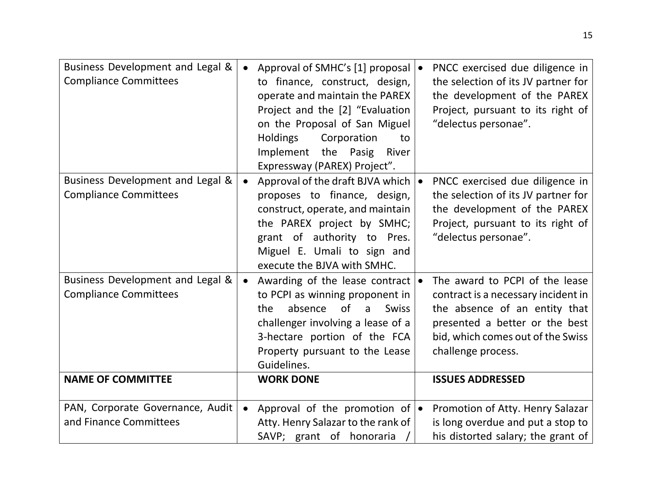| Business Development and Legal &<br><b>Compliance Committees</b> | $\bullet$ | Approval of SMHC's [1] proposal  <br>to finance, construct, design,<br>operate and maintain the PAREX<br>Project and the [2] "Evaluation<br>on the Proposal of San Miguel<br>Holdings<br>Corporation<br>to<br>Implement<br>the Pasig<br>River<br>Expressway (PAREX) Project". | PNCC exercised due diligence in<br>the selection of its JV partner for<br>the development of the PAREX<br>Project, pursuant to its right of<br>"delectus personae".                                 |
|------------------------------------------------------------------|-----------|-------------------------------------------------------------------------------------------------------------------------------------------------------------------------------------------------------------------------------------------------------------------------------|-----------------------------------------------------------------------------------------------------------------------------------------------------------------------------------------------------|
| Business Development and Legal &<br><b>Compliance Committees</b> | $\bullet$ | Approval of the draft BJVA which<br>proposes to finance, design,<br>construct, operate, and maintain<br>the PAREX project by SMHC;<br>grant of authority to Pres.<br>Miguel E. Umali to sign and<br>execute the BJVA with SMHC.                                               | PNCC exercised due diligence in<br>the selection of its JV partner for<br>the development of the PAREX<br>Project, pursuant to its right of<br>"delectus personae".                                 |
| Business Development and Legal &<br><b>Compliance Committees</b> | $\bullet$ | Awarding of the lease contract<br>to PCPI as winning proponent in<br>of<br>absence<br><b>Swiss</b><br>the<br>$\mathsf{a}$<br>challenger involving a lease of a<br>3-hectare portion of the FCA<br>Property pursuant to the Lease<br>Guidelines.                               | The award to PCPI of the lease<br>contract is a necessary incident in<br>the absence of an entity that<br>presented a better or the best<br>bid, which comes out of the Swiss<br>challenge process. |
| <b>NAME OF COMMITTEE</b>                                         |           | <b>WORK DONE</b>                                                                                                                                                                                                                                                              | <b>ISSUES ADDRESSED</b>                                                                                                                                                                             |
| PAN, Corporate Governance, Audit<br>and Finance Committees       | $\bullet$ | Approval of the promotion of $\bullet$<br>Atty. Henry Salazar to the rank of<br>SAVP; grant of honoraria                                                                                                                                                                      | Promotion of Atty. Henry Salazar<br>is long overdue and put a stop to<br>his distorted salary; the grant of                                                                                         |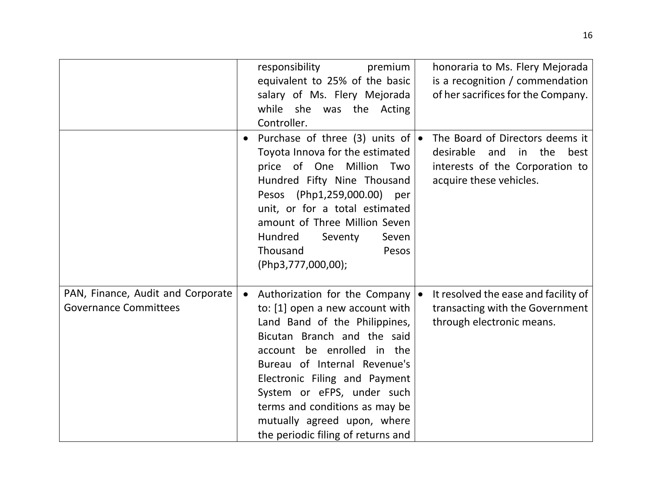|                                                                   |           | responsibility<br>premium<br>equivalent to 25% of the basic<br>salary of Ms. Flery Mejorada<br>while she was the Acting<br>Controller.                                                                                                                                                                                                                                         | honoraria to Ms. Flery Mejorada<br>is a recognition / commendation<br>of her sacrifices for the Company.                               |
|-------------------------------------------------------------------|-----------|--------------------------------------------------------------------------------------------------------------------------------------------------------------------------------------------------------------------------------------------------------------------------------------------------------------------------------------------------------------------------------|----------------------------------------------------------------------------------------------------------------------------------------|
|                                                                   |           | Purchase of three (3) units of $\bullet$<br>Toyota Innova for the estimated<br>price of One Million Two<br>Hundred Fifty Nine Thousand<br>Pesos (Php1,259,000.00) per<br>unit, or for a total estimated<br>amount of Three Million Seven<br>Hundred<br>Seventy<br>Seven<br>Thousand<br>Pesos<br>(Php3,777,000,00);                                                             | The Board of Directors deems it<br>desirable<br>the<br>best<br>and<br>in<br>interests of the Corporation to<br>acquire these vehicles. |
| PAN, Finance, Audit and Corporate<br><b>Governance Committees</b> | $\bullet$ | Authorization for the Company $\bullet$<br>to: [1] open a new account with<br>Land Band of the Philippines,<br>Bicutan Branch and the said<br>account be enrolled in the<br>Bureau of Internal Revenue's<br>Electronic Filing and Payment<br>System or eFPS, under such<br>terms and conditions as may be<br>mutually agreed upon, where<br>the periodic filing of returns and | It resolved the ease and facility of<br>transacting with the Government<br>through electronic means.                                   |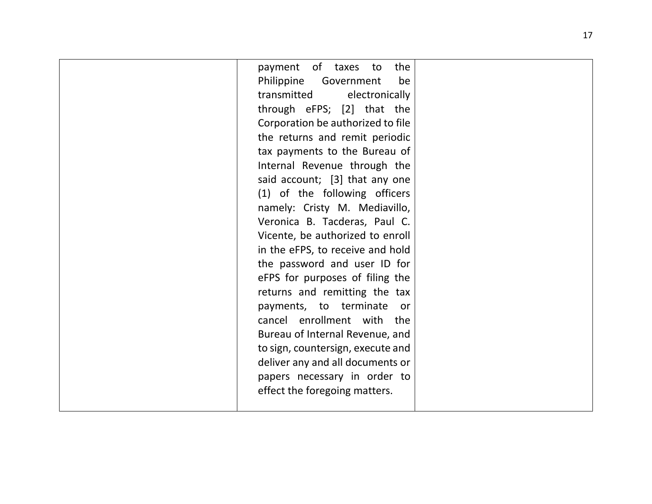| payment of taxes to the           |
|-----------------------------------|
| Philippine Government<br>be       |
| transmitted electronically        |
| through eFPS; [2] that the        |
| Corporation be authorized to file |
| the returns and remit periodic    |
| tax payments to the Bureau of     |
| Internal Revenue through the      |
| said account; [3] that any one    |
| (1) of the following officers     |
| namely: Cristy M. Mediavillo,     |
| Veronica B. Tacderas, Paul C.     |
| Vicente, be authorized to enroll  |
| in the eFPS, to receive and hold  |
| the password and user ID for      |
| eFPS for purposes of filing the   |
| returns and remitting the tax     |
| payments, to terminate or         |
| cancel enrollment with the        |
| Bureau of Internal Revenue, and   |
| to sign, countersign, execute and |
| deliver any and all documents or  |
| papers necessary in order to      |
| effect the foregoing matters.     |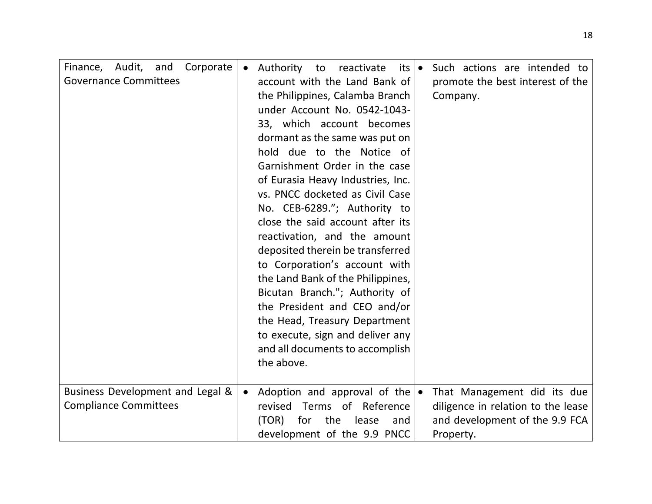| Finance, Audit, and<br>Corporate<br><b>Governance Committees</b> | $\bullet$ | Authority to<br>reactivate<br>its  ●<br>account with the Land Bank of<br>the Philippines, Calamba Branch<br>under Account No. 0542-1043-<br>33, which account becomes<br>dormant as the same was put on<br>hold due to the Notice of<br>Garnishment Order in the case<br>of Eurasia Heavy Industries, Inc.<br>vs. PNCC docketed as Civil Case<br>No. CEB-6289."; Authority to<br>close the said account after its<br>reactivation, and the amount<br>deposited therein be transferred<br>to Corporation's account with<br>the Land Bank of the Philippines,<br>Bicutan Branch."; Authority of<br>the President and CEO and/or<br>the Head, Treasury Department<br>to execute, sign and deliver any<br>and all documents to accomplish | Such actions are intended to<br>promote the best interest of the<br>Company.                                     |
|------------------------------------------------------------------|-----------|---------------------------------------------------------------------------------------------------------------------------------------------------------------------------------------------------------------------------------------------------------------------------------------------------------------------------------------------------------------------------------------------------------------------------------------------------------------------------------------------------------------------------------------------------------------------------------------------------------------------------------------------------------------------------------------------------------------------------------------|------------------------------------------------------------------------------------------------------------------|
|                                                                  |           | the above.                                                                                                                                                                                                                                                                                                                                                                                                                                                                                                                                                                                                                                                                                                                            |                                                                                                                  |
| Business Development and Legal &<br><b>Compliance Committees</b> | $\bullet$ | Adoption and approval of the $\bullet$<br>revised Terms of Reference<br>(TOR)<br>for<br>the<br>lease<br>and<br>development of the 9.9 PNCC                                                                                                                                                                                                                                                                                                                                                                                                                                                                                                                                                                                            | That Management did its due<br>diligence in relation to the lease<br>and development of the 9.9 FCA<br>Property. |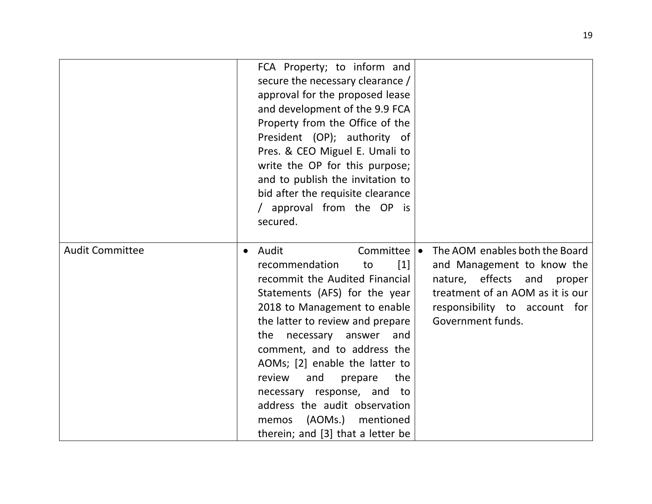|                        | FCA Property; to inform and<br>secure the necessary clearance /<br>approval for the proposed lease<br>and development of the 9.9 FCA<br>Property from the Office of the<br>President (OP); authority of<br>Pres. & CEO Miguel E. Umali to<br>write the OP for this purpose;<br>and to publish the invitation to<br>bid after the requisite clearance<br>/ approval from the OP is<br>secured.                                                                                              |                                                                                                                                                                                         |
|------------------------|--------------------------------------------------------------------------------------------------------------------------------------------------------------------------------------------------------------------------------------------------------------------------------------------------------------------------------------------------------------------------------------------------------------------------------------------------------------------------------------------|-----------------------------------------------------------------------------------------------------------------------------------------------------------------------------------------|
| <b>Audit Committee</b> | • Audit<br>Committee   •<br>recommendation<br>$\lceil 1 \rceil$<br>to<br>recommit the Audited Financial<br>Statements (AFS) for the year<br>2018 to Management to enable<br>the latter to review and prepare<br>the<br>necessary<br>answer<br>and<br>comment, and to address the<br>AOMs; [2] enable the latter to<br>review<br>the<br>and<br>prepare<br>necessary response, and to<br>address the audit observation<br>(AOMs.)<br>mentioned<br>memos<br>therein; and [3] that a letter be | The AOM enables both the Board<br>and Management to know the<br>nature, effects and<br>proper<br>treatment of an AOM as it is our<br>responsibility to account for<br>Government funds. |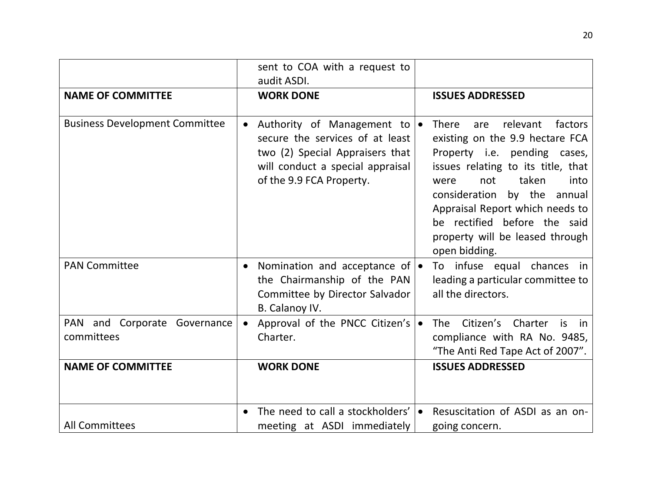|                                            | sent to COA with a request to<br>audit ASDI.                                                                                                                               |                                                                                                                                                                                                                                                                                                                                           |
|--------------------------------------------|----------------------------------------------------------------------------------------------------------------------------------------------------------------------------|-------------------------------------------------------------------------------------------------------------------------------------------------------------------------------------------------------------------------------------------------------------------------------------------------------------------------------------------|
| <b>NAME OF COMMITTEE</b>                   | <b>WORK DONE</b>                                                                                                                                                           | <b>ISSUES ADDRESSED</b>                                                                                                                                                                                                                                                                                                                   |
| <b>Business Development Committee</b>      | Authority of Management to $\bullet$<br>secure the services of at least<br>two (2) Special Appraisers that<br>will conduct a special appraisal<br>of the 9.9 FCA Property. | <b>There</b><br>relevant<br>factors<br>are<br>existing on the 9.9 hectare FCA<br>Property i.e. pending cases,<br>issues relating to its title, that<br>taken<br>not<br>into<br>were<br>consideration by the annual<br>Appraisal Report which needs to<br>be rectified before the said<br>property will be leased through<br>open bidding. |
| <b>PAN Committee</b>                       | Nomination and acceptance of $\bullet$<br>$\bullet$<br>the Chairmanship of the PAN<br>Committee by Director Salvador<br>B. Calanoy IV.                                     | To infuse equal chances in<br>leading a particular committee to<br>all the directors.                                                                                                                                                                                                                                                     |
| PAN and Corporate Governance<br>committees | Approval of the PNCC Citizen's $\bullet$<br>Charter.                                                                                                                       | Citizen's Charter<br>The<br>is i<br>in<br>compliance with RA No. 9485,<br>"The Anti Red Tape Act of 2007".                                                                                                                                                                                                                                |
| <b>NAME OF COMMITTEE</b>                   | <b>WORK DONE</b>                                                                                                                                                           | <b>ISSUES ADDRESSED</b>                                                                                                                                                                                                                                                                                                                   |
| <b>All Committees</b>                      | The need to call a stockholders'<br>meeting at ASDI immediately                                                                                                            | Resuscitation of ASDI as an on-<br>$\bullet$<br>going concern.                                                                                                                                                                                                                                                                            |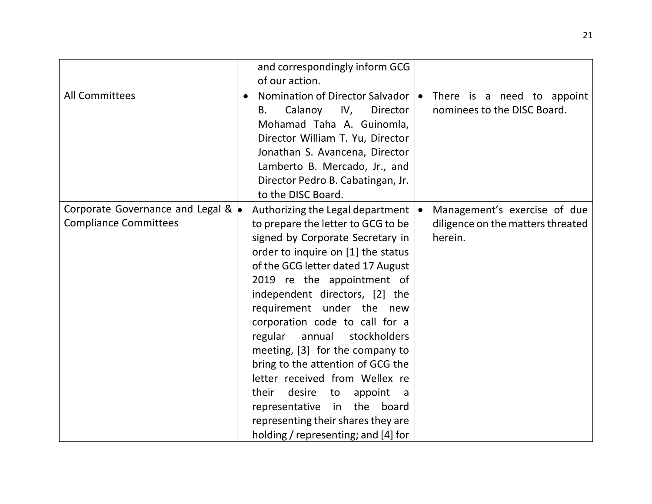|                                                                            | and correspondingly inform GCG<br>of our action.                                                                                                                                                                                                                                                                                                                                                                                                                                                                                                                                                                           |                                                                              |
|----------------------------------------------------------------------------|----------------------------------------------------------------------------------------------------------------------------------------------------------------------------------------------------------------------------------------------------------------------------------------------------------------------------------------------------------------------------------------------------------------------------------------------------------------------------------------------------------------------------------------------------------------------------------------------------------------------------|------------------------------------------------------------------------------|
| <b>All Committees</b>                                                      | Nomination of Director Salvador   •<br>$\bullet$<br>Calanoy<br>IV,<br>Director<br>В.<br>Mohamad Taha A. Guinomla,<br>Director William T. Yu, Director<br>Jonathan S. Avancena, Director<br>Lamberto B. Mercado, Jr., and<br>Director Pedro B. Cabatingan, Jr.<br>to the DISC Board.                                                                                                                                                                                                                                                                                                                                        | There is a need to appoint<br>nominees to the DISC Board.                    |
| Corporate Governance and Legal & $\bullet$<br><b>Compliance Committees</b> | Authorizing the Legal department  <br>to prepare the letter to GCG to be<br>signed by Corporate Secretary in<br>order to inquire on [1] the status<br>of the GCG letter dated 17 August<br>2019 re the appointment of<br>independent directors, [2] the<br>requirement under the new<br>corporation code to call for a<br>regular<br>stockholders<br>annual<br>meeting, [3] for the company to<br>bring to the attention of GCG the<br>letter received from Wellex re<br>their desire<br>to<br>appoint<br>a<br>representative in the<br>board<br>representing their shares they are<br>holding / representing; and [4] for | Management's exercise of due<br>diligence on the matters threated<br>herein. |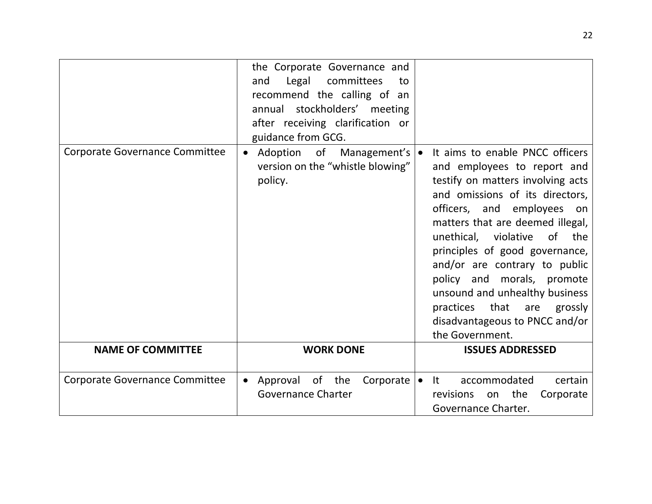|                                       | the Corporate Governance and<br>Legal<br>committees<br>and<br>to<br>recommend the calling of an<br>annual stockholders' meeting<br>after receiving clarification or<br>guidance from GCG. |                                                                                                                                                                                                                                                                                                                                                                                                                                                                        |
|---------------------------------------|-------------------------------------------------------------------------------------------------------------------------------------------------------------------------------------------|------------------------------------------------------------------------------------------------------------------------------------------------------------------------------------------------------------------------------------------------------------------------------------------------------------------------------------------------------------------------------------------------------------------------------------------------------------------------|
| <b>Corporate Governance Committee</b> | Adoption of Management's   •<br>$\bullet$<br>version on the "whistle blowing"<br>policy.                                                                                                  | It aims to enable PNCC officers<br>and employees to report and<br>testify on matters involving acts<br>and omissions of its directors,<br>officers, and employees on<br>matters that are deemed illegal,<br>of<br>unethical, violative<br>the<br>principles of good governance,<br>and/or are contrary to public<br>policy and morals, promote<br>unsound and unhealthy business<br>practices that are<br>grossly<br>disadvantageous to PNCC and/or<br>the Government. |
| <b>NAME OF COMMITTEE</b>              | <b>WORK DONE</b>                                                                                                                                                                          | <b>ISSUES ADDRESSED</b>                                                                                                                                                                                                                                                                                                                                                                                                                                                |
| <b>Corporate Governance Committee</b> | Approval of the<br>Corporate $\bullet$ It<br>$\bullet$<br><b>Governance Charter</b>                                                                                                       | accommodated<br>certain<br>the<br>Corporate<br>revisions<br>on<br>Governance Charter.                                                                                                                                                                                                                                                                                                                                                                                  |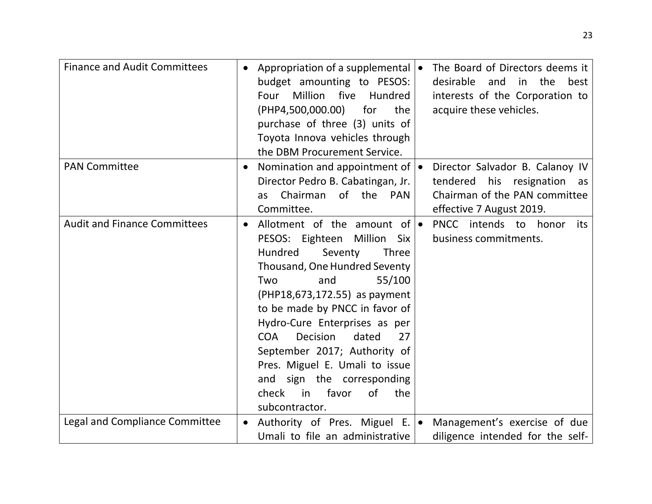| <b>Finance and Audit Committees</b>   |           | Appropriation of a supplemental $\bullet$<br>budget amounting to PESOS:<br>Million<br>five<br>Hundred<br>Four<br>(PHP4,500,000.00)<br>for<br>the<br>purchase of three (3) units of<br>Toyota Innova vehicles through<br>the DBM Procurement Service.                                                                                                                                                                                                                                |           | The Board of Directors deems it<br>desirable<br>the<br>and<br>in<br>best<br>interests of the Corporation to<br>acquire these vehicles. |
|---------------------------------------|-----------|-------------------------------------------------------------------------------------------------------------------------------------------------------------------------------------------------------------------------------------------------------------------------------------------------------------------------------------------------------------------------------------------------------------------------------------------------------------------------------------|-----------|----------------------------------------------------------------------------------------------------------------------------------------|
| <b>PAN Committee</b>                  | $\bullet$ | Nomination and appointment of   •<br>Director Pedro B. Cabatingan, Jr.<br>Chairman<br>of<br>the<br>PAN<br>as<br>Committee.                                                                                                                                                                                                                                                                                                                                                          |           | Director Salvador B. Calanoy IV<br>his resignation<br>tendered<br>as<br>Chairman of the PAN committee<br>effective 7 August 2019.      |
| <b>Audit and Finance Committees</b>   | $\bullet$ | Allotment of the amount of $\bullet$<br>Million<br>PESOS: Eighteen<br>Six<br>Hundred<br>Seventy<br>Three<br>Thousand, One Hundred Seventy<br>55/100<br>and<br>Two<br>(PHP18,673,172.55) as payment<br>to be made by PNCC in favor of<br>Hydro-Cure Enterprises as per<br>Decision<br><b>COA</b><br>dated<br>27<br>September 2017; Authority of<br>Pres. Miguel E. Umali to issue<br>and<br>sign the corresponding<br>favor<br><sub>of</sub><br>check<br>in<br>the<br>subcontractor. |           | PNCC intends to honor<br>its<br>business commitments.                                                                                  |
| <b>Legal and Compliance Committee</b> | $\bullet$ | Authority of Pres. Miguel E.<br>Umali to file an administrative                                                                                                                                                                                                                                                                                                                                                                                                                     | $\bullet$ | Management's exercise of due<br>diligence intended for the self-                                                                       |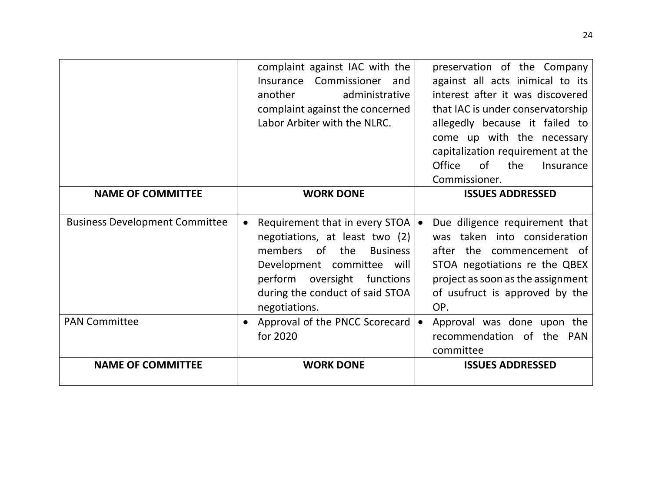|                                       | complaint against IAC with the<br>Insurance Commissioner<br>and<br>administrative<br>another<br>complaint against the concerned<br>Labor Arbiter with the NLRC.                                                                                                 | preservation of the Company<br>against all acts inimical to its<br>interest after it was discovered<br>that IAC is under conservatorship<br>allegedly because it failed to<br>come up with the necessary<br>capitalization requirement at the<br>of<br><b>Office</b><br>the<br>Insurance<br>Commissioner. |
|---------------------------------------|-----------------------------------------------------------------------------------------------------------------------------------------------------------------------------------------------------------------------------------------------------------------|-----------------------------------------------------------------------------------------------------------------------------------------------------------------------------------------------------------------------------------------------------------------------------------------------------------|
| <b>NAME OF COMMITTEE</b>              | <b>WORK DONE</b>                                                                                                                                                                                                                                                | <b>ISSUES ADDRESSED</b>                                                                                                                                                                                                                                                                                   |
| <b>Business Development Committee</b> | Requirement that in every STOA $\vert \bullet \vert$<br>$\bullet$<br>negotiations, at least two (2)<br>members<br>of<br>the<br><b>Business</b><br>Development committee will<br>perform oversight functions<br>during the conduct of said STOA<br>negotiations. | Due diligence requirement that<br>was taken into consideration<br>after the commencement of<br>STOA negotiations re the QBEX<br>project as soon as the assignment<br>of usufruct is approved by the<br>OP.                                                                                                |
| <b>PAN Committee</b>                  | Approval of the PNCC Scorecard<br>for 2020                                                                                                                                                                                                                      | Approval was done upon the<br>recommendation of the PAN<br>committee                                                                                                                                                                                                                                      |
| <b>NAME OF COMMITTEE</b>              | <b>WORK DONE</b>                                                                                                                                                                                                                                                | <b>ISSUES ADDRESSED</b>                                                                                                                                                                                                                                                                                   |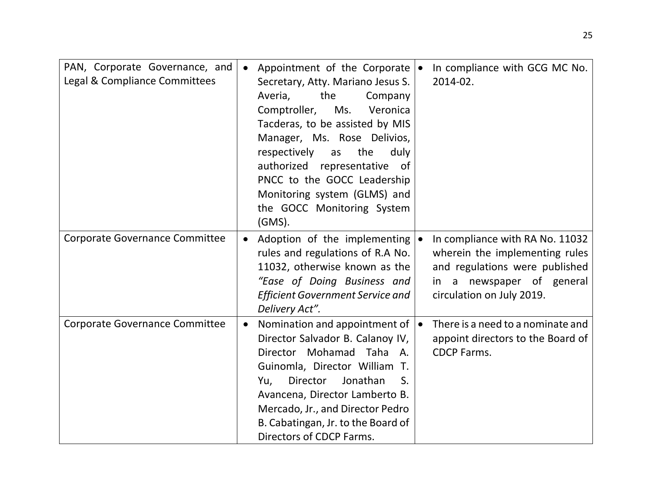| PAN, Corporate Governance, and<br>Legal & Compliance Committees | Appointment of the Corporate $\bullet$<br>$\bullet$<br>Secretary, Atty. Mariano Jesus S.<br>Averia,<br>the<br>Company<br>Comptroller,<br>Ms.<br>Veronica<br>Tacderas, to be assisted by MIS<br>Manager, Ms. Rose Delivios,<br>respectively<br>the<br>duly<br>as<br>authorized representative<br>of<br>PNCC to the GOCC Leadership<br>Monitoring system (GLMS) and<br>the GOCC Monitoring System<br>$(GMS)$ . | In compliance with GCG MC No.<br>2014-02.                                                                                                                     |
|-----------------------------------------------------------------|--------------------------------------------------------------------------------------------------------------------------------------------------------------------------------------------------------------------------------------------------------------------------------------------------------------------------------------------------------------------------------------------------------------|---------------------------------------------------------------------------------------------------------------------------------------------------------------|
| <b>Corporate Governance Committee</b>                           | Adoption of the implementing $\bullet$<br>rules and regulations of R.A No.<br>11032, otherwise known as the<br>"Ease of Doing Business and<br><b>Efficient Government Service and</b><br>Delivery Act".                                                                                                                                                                                                      | In compliance with RA No. 11032<br>wherein the implementing rules<br>and regulations were published<br>in a newspaper of general<br>circulation on July 2019. |
| <b>Corporate Governance Committee</b>                           | Nomination and appointment of<br>$\bullet$<br>Director Salvador B. Calanoy IV,<br>Director Mohamad Taha A.<br>Guinomla, Director William T.<br>Director<br>Jonathan<br>S.<br>Yu,<br>Avancena, Director Lamberto B.<br>Mercado, Jr., and Director Pedro<br>B. Cabatingan, Jr. to the Board of<br>Directors of CDCP Farms.                                                                                     | There is a need to a nominate and<br>appoint directors to the Board of<br><b>CDCP Farms.</b>                                                                  |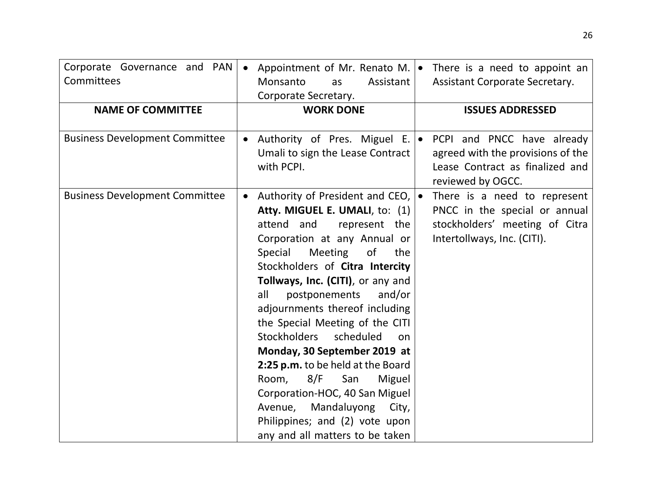| Corporate Governance and PAN<br>Committees<br><b>NAME OF COMMITTEE</b> | Appointment of Mr. Renato M. $\bullet$<br>$\bullet$<br>Monsanto<br>Assistant<br>as<br>Corporate Secretary.<br><b>WORK DONE</b>                                                                                                                                                                                                                                                                                                                                                                                                                                                                                                                            | There is a need to appoint an<br><b>Assistant Corporate Secretary.</b><br><b>ISSUES ADDRESSED</b>                              |
|------------------------------------------------------------------------|-----------------------------------------------------------------------------------------------------------------------------------------------------------------------------------------------------------------------------------------------------------------------------------------------------------------------------------------------------------------------------------------------------------------------------------------------------------------------------------------------------------------------------------------------------------------------------------------------------------------------------------------------------------|--------------------------------------------------------------------------------------------------------------------------------|
| <b>Business Development Committee</b>                                  | Authority of Pres. Miguel E.   •<br>Umali to sign the Lease Contract<br>with PCPI.                                                                                                                                                                                                                                                                                                                                                                                                                                                                                                                                                                        | PCPI and PNCC have already<br>agreed with the provisions of the<br>Lease Contract as finalized and<br>reviewed by OGCC.        |
| <b>Business Development Committee</b>                                  | Authority of President and CEO,  .<br>$\bullet$<br>Atty. MIGUEL E. UMALI, to: (1)<br>attend and<br>represent the<br>Corporation at any Annual or<br>Meeting<br>Special<br>of<br>the<br>Stockholders of Citra Intercity<br>Tollways, Inc. (CITI), or any and<br>postponements<br>all<br>and/or<br>adjournments thereof including<br>the Special Meeting of the CITI<br><b>Stockholders</b><br>scheduled<br>on<br>Monday, 30 September 2019 at<br>2:25 p.m. to be held at the Board<br>Room,<br>San<br>8/F<br>Miguel<br>Corporation-HOC, 40 San Miguel<br>Avenue, Mandaluyong<br>City,<br>Philippines; and (2) vote upon<br>any and all matters to be taken | There is a need to represent<br>PNCC in the special or annual<br>stockholders' meeting of Citra<br>Intertollways, Inc. (CITI). |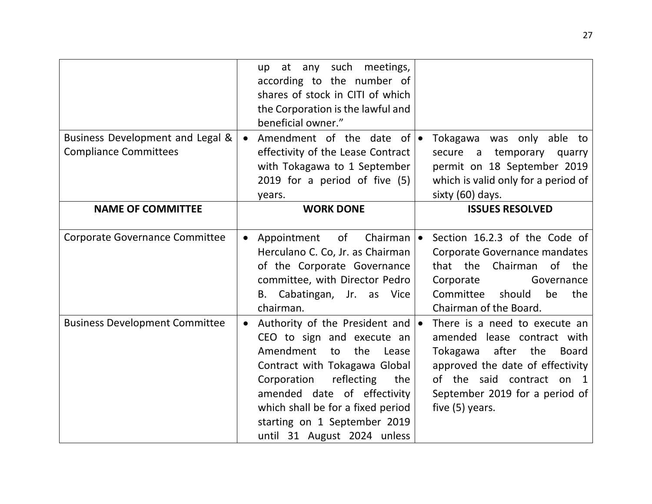|                                       |           | up at any such meetings,                |                                     |
|---------------------------------------|-----------|-----------------------------------------|-------------------------------------|
|                                       |           | according to the number of              |                                     |
|                                       |           | shares of stock in CITI of which        |                                     |
|                                       |           | the Corporation is the lawful and       |                                     |
|                                       |           | beneficial owner."                      |                                     |
| Business Development and Legal &      | $\bullet$ | Amendment of the date of $\bullet$      | Tokagawa was only able to           |
| <b>Compliance Committees</b>          |           | effectivity of the Lease Contract       | a temporary<br>secure<br>quarry     |
|                                       |           | with Tokagawa to 1 September            | permit on 18 September 2019         |
|                                       |           | 2019 for a period of five (5)           | which is valid only for a period of |
|                                       |           | years.                                  | sixty (60) days.                    |
| <b>NAME OF COMMITTEE</b>              |           | <b>WORK DONE</b>                        | <b>ISSUES RESOLVED</b>              |
|                                       |           |                                         |                                     |
| <b>Corporate Governance Committee</b> |           | of<br>Chairman $\bullet$<br>Appointment | Section 16.2.3 of the Code of       |
|                                       |           | Herculano C. Co, Jr. as Chairman        | Corporate Governance mandates       |
|                                       |           | of the Corporate Governance             | Chairman<br>of the<br>that the      |
|                                       |           | committee, with Director Pedro          | Corporate<br>Governance             |
|                                       |           | B. Cabatingan, Jr. as Vice              | Committee<br>should<br>be<br>the    |
|                                       |           | chairman.                               | Chairman of the Board.              |
| <b>Business Development Committee</b> | $\bullet$ | Authority of the President and  .       | There is a need to execute an       |
|                                       |           | CEO to sign and execute an              | amended lease contract with         |
|                                       |           | Amendment<br>the<br>to<br>Lease         | after the Board<br>Tokagawa         |
|                                       |           | Contract with Tokagawa Global           | approved the date of effectivity    |
|                                       |           | reflecting<br>Corporation<br>the        | of the said contract on 1           |
|                                       |           | amended date of effectivity             | September 2019 for a period of      |
|                                       |           | which shall be for a fixed period       | five (5) years.                     |
|                                       |           | starting on 1 September 2019            |                                     |
|                                       |           | until 31 August 2024 unless             |                                     |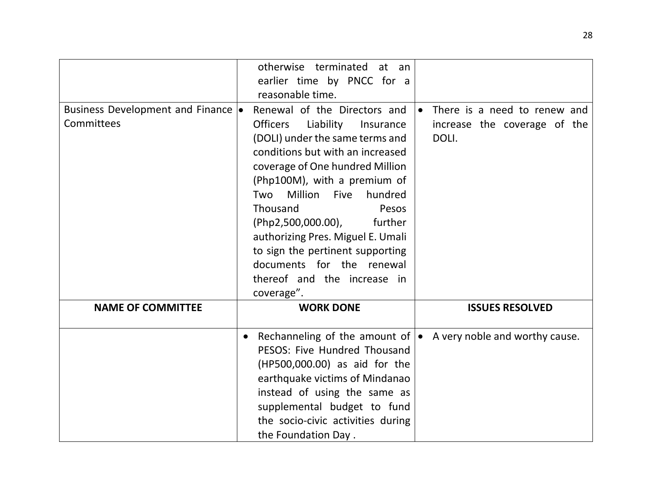|                                     | otherwise terminated at an<br>earlier time by PNCC for a<br>reasonable time. |                                           |
|-------------------------------------|------------------------------------------------------------------------------|-------------------------------------------|
| Business Development and Finance  . | Renewal of the Directors and                                                 | There is a need to renew and<br>$\bullet$ |
| Committees                          | <b>Officers</b><br>Liability<br>Insurance                                    | increase the coverage of the              |
|                                     | (DOLI) under the same terms and                                              | DOLI.                                     |
|                                     | conditions but with an increased                                             |                                           |
|                                     | coverage of One hundred Million                                              |                                           |
|                                     | (Php100M), with a premium of                                                 |                                           |
|                                     | Million<br><b>Five</b><br>hundred<br>Two                                     |                                           |
|                                     | Thousand<br>Pesos                                                            |                                           |
|                                     | (Php2,500,000.00),<br>further                                                |                                           |
|                                     | authorizing Pres. Miguel E. Umali                                            |                                           |
|                                     |                                                                              |                                           |
|                                     | to sign the pertinent supporting                                             |                                           |
|                                     | documents for the renewal                                                    |                                           |
|                                     | thereof and the increase in                                                  |                                           |
|                                     | coverage".                                                                   |                                           |
| <b>NAME OF COMMITTEE</b>            | <b>WORK DONE</b>                                                             | <b>ISSUES RESOLVED</b>                    |
|                                     | Rechanneling of the amount of $\bullet$<br>$\bullet$                         | A very noble and worthy cause.            |
|                                     | PESOS: Five Hundred Thousand                                                 |                                           |
|                                     | (HP500,000.00) as aid for the                                                |                                           |
|                                     | earthquake victims of Mindanao                                               |                                           |
|                                     | instead of using the same as                                                 |                                           |
|                                     | supplemental budget to fund                                                  |                                           |
|                                     | the socio-civic activities during                                            |                                           |
|                                     | the Foundation Day.                                                          |                                           |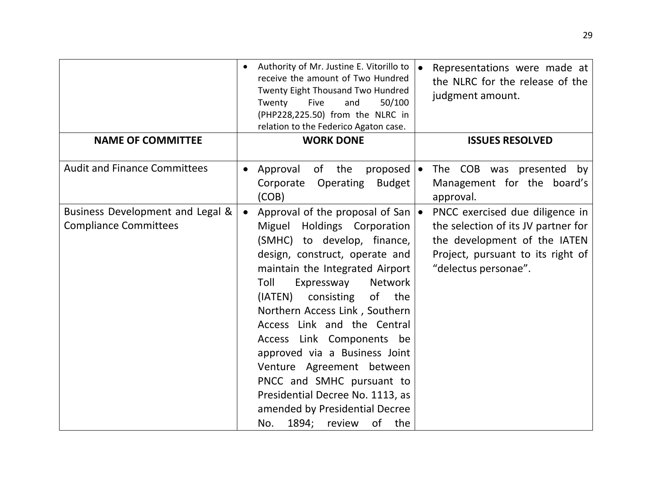|                                                                  | Authority of Mr. Justine E. Vitorillo to<br>receive the amount of Two Hundred<br>Twenty Eight Thousand Two Hundred<br>Twenty<br>Five<br>and<br>50/100<br>(PHP228,225.50) from the NLRC in<br>relation to the Federico Agaton case.                                                                                                                                                                                                                                                                                                                         | Representations were made at<br>the NLRC for the release of the<br>judgment amount.                                                                                 |
|------------------------------------------------------------------|------------------------------------------------------------------------------------------------------------------------------------------------------------------------------------------------------------------------------------------------------------------------------------------------------------------------------------------------------------------------------------------------------------------------------------------------------------------------------------------------------------------------------------------------------------|---------------------------------------------------------------------------------------------------------------------------------------------------------------------|
| <b>NAME OF COMMITTEE</b>                                         | <b>WORK DONE</b>                                                                                                                                                                                                                                                                                                                                                                                                                                                                                                                                           | <b>ISSUES RESOLVED</b>                                                                                                                                              |
| <b>Audit and Finance Committees</b>                              | Approval<br>of the<br>proposed $\bullet$<br>Operating<br><b>Budget</b><br>Corporate<br>(COB)                                                                                                                                                                                                                                                                                                                                                                                                                                                               | The COB was presented by<br>Management for the board's<br>approval.                                                                                                 |
| Business Development and Legal &<br><b>Compliance Committees</b> | Approval of the proposal of San $\bullet$<br>$\bullet$<br>Miguel Holdings Corporation<br>(SMHC) to develop, finance,<br>design, construct, operate and<br>maintain the Integrated Airport<br>Network<br>Toll<br>Expressway<br>of the<br>(IATEN) consisting<br>Northern Access Link, Southern<br>Access Link and the Central<br>Access Link Components be<br>approved via a Business Joint<br>Venture Agreement between<br>PNCC and SMHC pursuant to<br>Presidential Decree No. 1113, as<br>amended by Presidential Decree<br>1894; review<br>of the<br>No. | PNCC exercised due diligence in<br>the selection of its JV partner for<br>the development of the IATEN<br>Project, pursuant to its right of<br>"delectus personae". |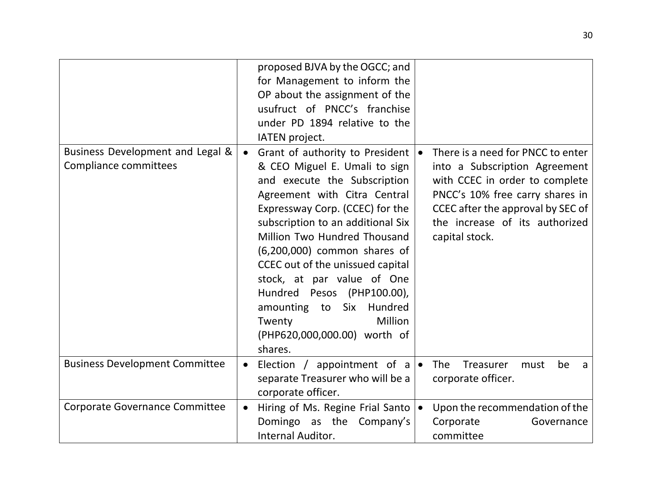|                                                           |           | proposed BJVA by the OGCC; and<br>for Management to inform the<br>OP about the assignment of the<br>usufruct of PNCC's franchise<br>under PD 1894 relative to the<br>IATEN project.                                                                                                                                                                                                                                                                                  |                                                                                                                                                                                                                                  |
|-----------------------------------------------------------|-----------|----------------------------------------------------------------------------------------------------------------------------------------------------------------------------------------------------------------------------------------------------------------------------------------------------------------------------------------------------------------------------------------------------------------------------------------------------------------------|----------------------------------------------------------------------------------------------------------------------------------------------------------------------------------------------------------------------------------|
| Business Development and Legal &<br>Compliance committees | $\bullet$ | Grant of authority to President<br>& CEO Miguel E. Umali to sign<br>and execute the Subscription<br>Agreement with Citra Central<br>Expressway Corp. (CCEC) for the<br>subscription to an additional Six<br>Million Two Hundred Thousand<br>(6,200,000) common shares of<br>CCEC out of the unissued capital<br>stock, at par value of One<br>Hundred Pesos (PHP100.00),<br>amounting to Six Hundred<br>Million<br>Twenty<br>(PHP620,000,000.00) worth of<br>shares. | There is a need for PNCC to enter<br>into a Subscription Agreement<br>with CCEC in order to complete<br>PNCC's 10% free carry shares in<br>CCEC after the approval by SEC of<br>the increase of its authorized<br>capital stock. |
| <b>Business Development Committee</b>                     | $\bullet$ | Election / appointment of $a \mid \bullet$<br>separate Treasurer who will be a<br>corporate officer.                                                                                                                                                                                                                                                                                                                                                                 | <b>The</b><br>Treasurer<br>be<br>must<br>a<br>corporate officer.                                                                                                                                                                 |
| Corporate Governance Committee                            |           | Hiring of Ms. Regine Frial Santo   •<br>Domingo as the Company's<br><b>Internal Auditor.</b>                                                                                                                                                                                                                                                                                                                                                                         | Upon the recommendation of the<br>Corporate<br>Governance<br>committee                                                                                                                                                           |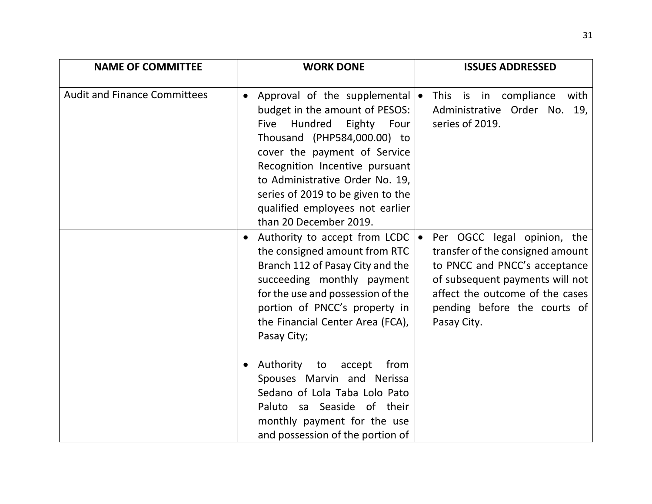| <b>NAME OF COMMITTEE</b>            | <b>WORK DONE</b>                                                                                                                                                                                                                                                                                                                                                                                                                                                                | <b>ISSUES ADDRESSED</b>                                                                                                                                                                                               |
|-------------------------------------|---------------------------------------------------------------------------------------------------------------------------------------------------------------------------------------------------------------------------------------------------------------------------------------------------------------------------------------------------------------------------------------------------------------------------------------------------------------------------------|-----------------------------------------------------------------------------------------------------------------------------------------------------------------------------------------------------------------------|
| <b>Audit and Finance Committees</b> | Approval of the supplemental $\bullet$<br>$\bullet$<br>budget in the amount of PESOS:<br>Hundred<br>Eighty Four<br>Five<br>Thousand (PHP584,000.00) to<br>cover the payment of Service<br>Recognition Incentive pursuant<br>to Administrative Order No. 19,<br>series of 2019 to be given to the<br>qualified employees not earlier<br>than 20 December 2019.                                                                                                                   | This is in compliance<br>with<br>Administrative Order No. 19,<br>series of 2019.                                                                                                                                      |
|                                     | Authority to accept from LCDC $\bullet$<br>the consigned amount from RTC<br>Branch 112 of Pasay City and the<br>succeeding monthly payment<br>for the use and possession of the<br>portion of PNCC's property in<br>the Financial Center Area (FCA),<br>Pasay City;<br>Authority to accept<br>from<br>$\bullet$<br>Spouses Marvin and Nerissa<br>Sedano of Lola Taba Lolo Pato<br>Paluto sa Seaside of their<br>monthly payment for the use<br>and possession of the portion of | Per OGCC legal opinion, the<br>transfer of the consigned amount<br>to PNCC and PNCC's acceptance<br>of subsequent payments will not<br>affect the outcome of the cases<br>pending before the courts of<br>Pasay City. |